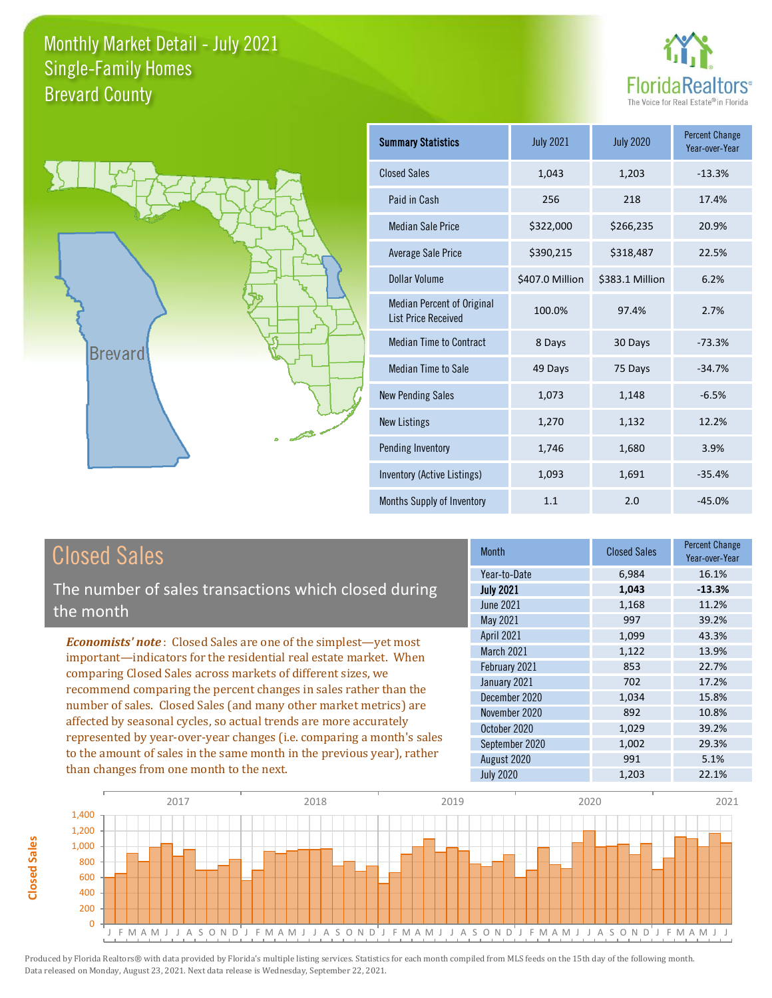



| <b>Summary Statistics</b>                                       | <b>July 2021</b> | <b>July 2020</b> | <b>Percent Change</b><br>Year-over-Year |
|-----------------------------------------------------------------|------------------|------------------|-----------------------------------------|
| <b>Closed Sales</b>                                             | 1,043            | 1,203            | $-13.3%$                                |
| Paid in Cash                                                    | 256              | 218              | 17.4%                                   |
| <b>Median Sale Price</b>                                        | \$322,000        | \$266,235        | 20.9%                                   |
| Average Sale Price                                              | \$390,215        | \$318,487        | 22.5%                                   |
| Dollar Volume                                                   | \$407.0 Million  | \$383.1 Million  | 6.2%                                    |
| <b>Median Percent of Original</b><br><b>List Price Received</b> | 100.0%           | 97.4%            | 2.7%                                    |
| <b>Median Time to Contract</b>                                  | 8 Days           | 30 Days          | $-73.3%$                                |
| <b>Median Time to Sale</b>                                      | 49 Days          | 75 Days          | $-34.7%$                                |
| <b>New Pending Sales</b>                                        | 1,073            | 1,148            | $-6.5%$                                 |
| <b>New Listings</b>                                             | 1,270            | 1,132            | 12.2%                                   |
| Pending Inventory                                               | 1,746            | 1,680            | 3.9%                                    |
| Inventory (Active Listings)                                     | 1,093            | 1,691            | $-35.4%$                                |
| Months Supply of Inventory                                      | 1.1              | 2.0              | $-45.0%$                                |

# Closed Sales

The number of sales transactions which closed during the month

*Economists' note* : Closed Sales are one of the simplest—yet most important—indicators for the residential real estate market. When comparing Closed Sales across markets of different sizes, we recommend comparing the percent changes in sales rather than the number of sales. Closed Sales (and many other market metrics) are affected by seasonal cycles, so actual trends are more accurately represented by year-over-year changes (i.e. comparing a month's sales to the amount of sales in the same month in the previous year), rather than changes from one month to the next.

| <b>Month</b>      | <b>Closed Sales</b> | <b>Percent Change</b><br>Year-over-Year |
|-------------------|---------------------|-----------------------------------------|
| Year-to-Date      | 6,984               | 16.1%                                   |
| <b>July 2021</b>  | 1,043               | $-13.3%$                                |
| June 2021         | 1,168               | 11.2%                                   |
| May 2021          | 997                 | 39.2%                                   |
| <b>April 2021</b> | 1,099               | 43.3%                                   |
| March 2021        | 1,122               | 13.9%                                   |
| February 2021     | 853                 | 22.7%                                   |
| January 2021      | 702                 | 17.2%                                   |
| December 2020     | 1,034               | 15.8%                                   |
| November 2020     | 892                 | 10.8%                                   |
| October 2020      | 1,029               | 39.2%                                   |
| September 2020    | 1,002               | 29.3%                                   |
| August 2020       | 991                 | 5.1%                                    |
| <b>July 2020</b>  | 1,203               | 22.1%                                   |

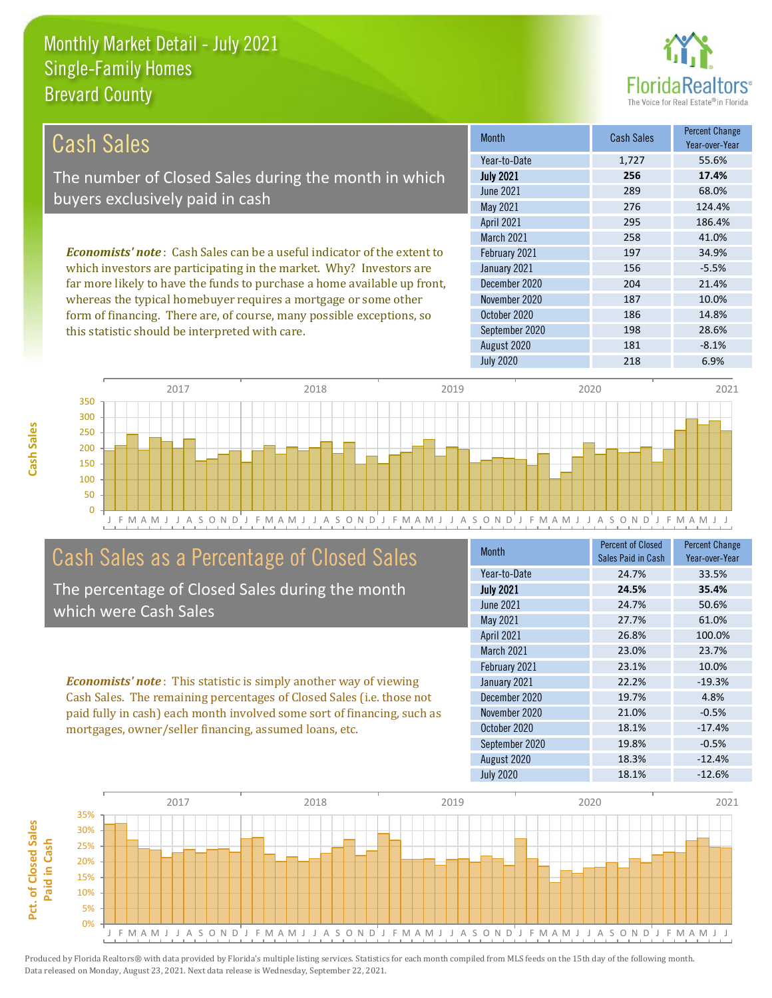this statistic should be interpreted with care.



198 28.6%

| Cash Sales                                                                     | <b>Month</b>      | <b>Cash Sales</b> | <b>Percent Change</b><br>Year-over-Year |
|--------------------------------------------------------------------------------|-------------------|-------------------|-----------------------------------------|
|                                                                                | Year-to-Date      | 1,727             | 55.6%                                   |
| The number of Closed Sales during the month in which                           | <b>July 2021</b>  | 256               | 17.4%                                   |
| buyers exclusively paid in cash                                                | <b>June 2021</b>  | 289               | 68.0%                                   |
|                                                                                | May 2021          | 276               | 124.4%                                  |
|                                                                                | <b>April 2021</b> | 295               | 186.4%                                  |
|                                                                                | <b>March 2021</b> | 258               | 41.0%                                   |
| <b>Economists' note:</b> Cash Sales can be a useful indicator of the extent to | February 2021     | 197               | 34.9%                                   |
| which investors are participating in the market. Why? Investors are            | January 2021      | 156               | $-5.5%$                                 |
| far more likely to have the funds to purchase a home available up front,       | December 2020     | 204               | 21.4%                                   |
| whereas the typical homebuyer requires a mortgage or some other                | November 2020     | 187               | 10.0%                                   |
| form of financing. There are, of course, many possible exceptions, so          | October 2020      | 186               | 14.8%                                   |



# Cash Sales as a Percentage of Closed Sales

The percentage of Closed Sales during the month which were Cash Sales

*Economists' note* : This statistic is simply another way of viewing Cash Sales. The remaining percentages of Closed Sales (i.e. those not paid fully in cash) each month involved some sort of financing, such as mortgages, owner/seller financing, assumed loans, etc.

| Month            | <b>Percent of Closed</b><br>Sales Paid in Cash | <b>Percent Change</b><br>Year-over-Year |
|------------------|------------------------------------------------|-----------------------------------------|
| Year-to-Date     | 24.7%                                          | 33.5%                                   |
| <b>July 2021</b> | 24.5%                                          | 35.4%                                   |
| June 2021        | 24.7%                                          | 50.6%                                   |
| <b>May 2021</b>  | 27.7%                                          | 61.0%                                   |
| April 2021       | 26.8%                                          | 100.0%                                  |
| March 2021       | 23.0%                                          | 23.7%                                   |
| February 2021    | 23.1%                                          | 10.0%                                   |
| January 2021     | 22.2%                                          | $-19.3%$                                |
| December 2020    | 19.7%                                          | 4.8%                                    |
| November 2020    | 21.0%                                          | $-0.5%$                                 |
| October 2020     | 18.1%                                          | $-17.4%$                                |
| September 2020   | 19.8%                                          | $-0.5%$                                 |
| August 2020      | 18.3%                                          | $-12.4%$                                |
| <b>July 2020</b> | 18.1%                                          | $-12.6%$                                |

August 2020 181 -8.1%

September 2020

July 2020 218 6.9%

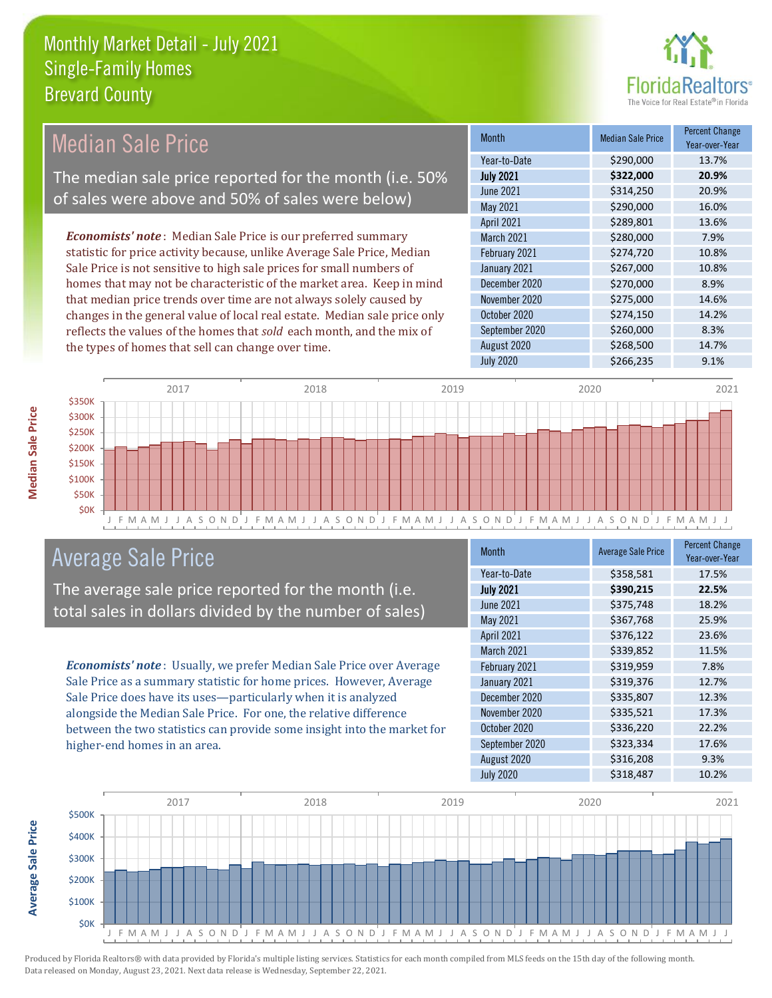

#### *Economists' note* : Median Sale Price is our preferred summary statistic for price activity because, unlike Average Sale Price, Median Sale Price is not sensitive to high sale prices for small numbers of homes that may not be characteristic of the market area. Keep in mind that median price trends over time are not always solely caused by changes in the general value of local real estate. Median sale price only reflects the values of the homes that *sold* each month, and the mix of the types of homes that sell can change over time. September 2020 \$260,000 8.3% August 2020 \$268,500 14.7% November 2020 \$275,000 14.6% October 2020 \$274,150 14.2% \$289,801 13.6% March 2021 **\$280,000** 5280,000 7.9% December 2020 \$270,000 \$2.9% June 2021 **\$314,250** \$314,250 20.9% May 2021 **\$290,000** \$290,000 16.0% February 2021 \$274,720 10.8% January 2021 **\$267,000** 10.8% April 2021 Month Median Sale Price Percent Change Year-over-Year July 2021 **\$322,000 20.9%** Year-to-Date \$290,000 13.7% Median Sale Price The median sale price reported for the month (i.e. 50% of sales were above and 50% of sales were below)



### Average Sale Price

The average sale price reported for the month (i.e. total sales in dollars divided by the number of sales)

*Economists' note* : Usually, we prefer Median Sale Price over Average Sale Price as a summary statistic for home prices. However, Average Sale Price does have its uses—particularly when it is analyzed alongside the Median Sale Price. For one, the relative difference between the two statistics can provide some insight into the market for higher-end homes in an area.

| <b>Month</b>     | <b>Average Sale Price</b> | <b>Percent Change</b><br>Year-over-Year |
|------------------|---------------------------|-----------------------------------------|
| Year-to-Date     | \$358,581                 | 17.5%                                   |
| <b>July 2021</b> | \$390,215                 | 22.5%                                   |
| <b>June 2021</b> | \$375,748                 | 18.2%                                   |
| May 2021         | \$367,768                 | 25.9%                                   |
| April 2021       | \$376,122                 | 23.6%                                   |
| March 2021       | \$339,852                 | 11.5%                                   |
| February 2021    | \$319,959                 | 7.8%                                    |
| January 2021     | \$319,376                 | 12.7%                                   |
| December 2020    | \$335,807                 | 12.3%                                   |
| November 2020    | \$335,521                 | 17.3%                                   |
| October 2020     | \$336,220                 | 22.2%                                   |
| September 2020   | \$323,334                 | 17.6%                                   |
| August 2020      | \$316,208                 | 9.3%                                    |
| <b>July 2020</b> | \$318,487                 | 10.2%                                   |

July 2020 \$266,235 9.1%



Produced by Florida Realtors® with data provided by Florida's multiple listing services. Statistics for each month compiled from MLS feeds on the 15th day of the following month. Data released on Monday, August 23, 2021. Next data release is Wednesday, September 22, 2021.

**Average Sale Price**

**Average Sale Price**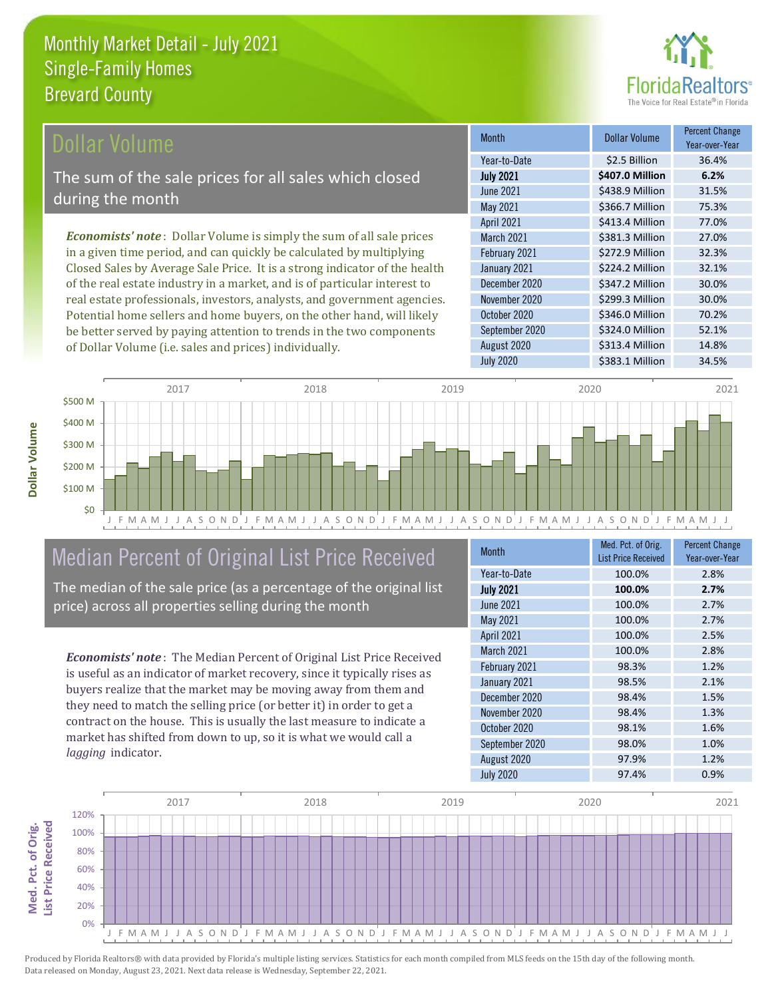

#### ollar Volume

The sum of the sale prices for all sales which closed during the month

*Economists' note* : Dollar Volume is simply the sum of all sale prices in a given time period, and can quickly be calculated by multiplying Closed Sales by Average Sale Price. It is a strong indicator of the health of the real estate industry in a market, and is of particular interest to real estate professionals, investors, analysts, and government agencies. Potential home sellers and home buyers, on the other hand, will likely be better served by paying attention to trends in the two components of Dollar Volume (i.e. sales and prices) individually.

| <b>Month</b>      | Dollar Volume   | <b>Percent Change</b><br>Year-over-Year |
|-------------------|-----------------|-----------------------------------------|
| Year-to-Date      | \$2.5 Billion   | 36.4%                                   |
| <b>July 2021</b>  | \$407.0 Million | 6.2%                                    |
| <b>June 2021</b>  | \$438.9 Million | 31.5%                                   |
| May 2021          | \$366.7 Million | 75.3%                                   |
| <b>April 2021</b> | \$413.4 Million | 77.0%                                   |
| March 2021        | \$381.3 Million | 27.0%                                   |
| February 2021     | \$272.9 Million | 32.3%                                   |
| January 2021      | \$224.2 Million | 32.1%                                   |
| December 2020     | \$347.2 Million | 30.0%                                   |
| November 2020     | \$299.3 Million | 30.0%                                   |
| October 2020      | \$346.0 Million | 70.2%                                   |
| September 2020    | \$324.0 Million | 52.1%                                   |
| August 2020       | \$313.4 Million | 14.8%                                   |
| <b>July 2020</b>  | \$383.1 Million | 34.5%                                   |



# Median Percent of Original List Price Received

The median of the sale price (as a percentage of the original list price) across all properties selling during the month

*Economists' note* : The Median Percent of Original List Price Received is useful as an indicator of market recovery, since it typically rises as buyers realize that the market may be moving away from them and they need to match the selling price (or better it) in order to get a contract on the house. This is usually the last measure to indicate a market has shifted from down to up, so it is what we would call a *lagging* indicator.

| <b>Month</b>     | Med. Pct. of Orig.<br><b>List Price Received</b> | <b>Percent Change</b><br>Year-over-Year |
|------------------|--------------------------------------------------|-----------------------------------------|
| Year-to-Date     | 100.0%                                           | 2.8%                                    |
| <b>July 2021</b> | 100.0%                                           | 2.7%                                    |
| June 2021        | 100.0%                                           | 2.7%                                    |
| May 2021         | 100.0%                                           | 2.7%                                    |
| April 2021       | 100.0%                                           | 2.5%                                    |
| March 2021       | 100.0%                                           | 2.8%                                    |
| February 2021    | 98.3%                                            | 1.2%                                    |
| January 2021     | 98.5%                                            | 2.1%                                    |
| December 2020    | 98.4%                                            | 1.5%                                    |
| November 2020    | 98.4%                                            | 1.3%                                    |
| October 2020     | 98.1%                                            | 1.6%                                    |
| September 2020   | 98.0%                                            | 1.0%                                    |
| August 2020      | 97.9%                                            | 1.2%                                    |
| <b>July 2020</b> | 97.4%                                            | 0.9%                                    |

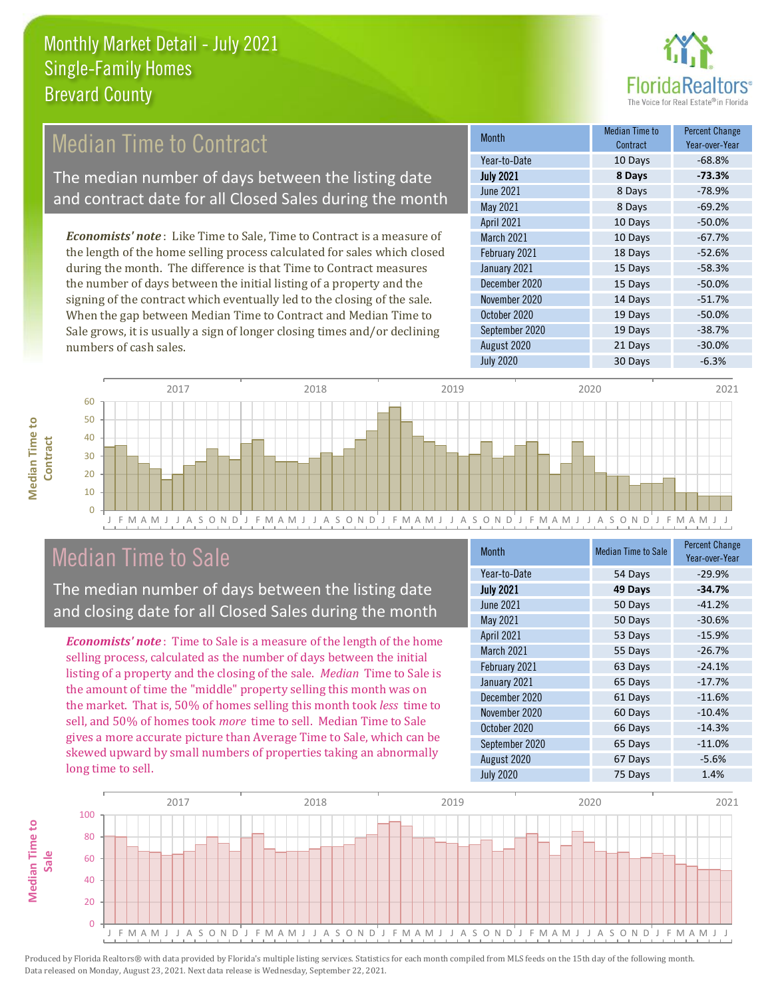

### Median Time to Contract

The median number of days between the listing date and contract date for all Closed Sales during the month

*Economists' note* : Like Time to Sale, Time to Contract is a measure of the length of the home selling process calculated for sales which closed during the month. The difference is that Time to Contract measures the number of days between the initial listing of a property and the signing of the contract which eventually led to the closing of the sale. When the gap between Median Time to Contract and Median Time to Sale grows, it is usually a sign of longer closing times and/or declining numbers of cash sales.

| <b>Month</b>      | Median Time to<br>Contract | <b>Percent Change</b><br>Year-over-Year |
|-------------------|----------------------------|-----------------------------------------|
| Year-to-Date      | 10 Days                    | $-68.8%$                                |
| <b>July 2021</b>  | 8 Days                     | $-73.3%$                                |
| <b>June 2021</b>  | 8 Days                     | $-78.9%$                                |
| May 2021          | 8 Days                     | $-69.2%$                                |
| <b>April 2021</b> | 10 Days                    | $-50.0%$                                |
| <b>March 2021</b> | 10 Days                    | $-67.7%$                                |
| February 2021     | 18 Days                    | $-52.6%$                                |
| January 2021      | 15 Days                    | $-58.3%$                                |
| December 2020     | 15 Days                    | $-50.0%$                                |
| November 2020     | 14 Days                    | $-51.7%$                                |
| October 2020      | 19 Days                    | $-50.0%$                                |
| September 2020    | 19 Days                    | $-38.7%$                                |
| August 2020       | 21 Days                    | $-30.0%$                                |
| <b>July 2020</b>  | 30 Days                    | $-6.3%$                                 |



#### Median Time to Sale

**Median Time to Contract**

**Median Time to** 

The median number of days between the listing date and closing date for all Closed Sales during the month

*Economists' note* : Time to Sale is a measure of the length of the home selling process, calculated as the number of days between the initial listing of a property and the closing of the sale. *Median* Time to Sale is the amount of time the "middle" property selling this month was on the market. That is, 50% of homes selling this month took *less* time to sell, and 50% of homes took *more* time to sell. Median Time to Sale gives a more accurate picture than Average Time to Sale, which can be skewed upward by small numbers of properties taking an abnormally long time to sell.

| <b>Month</b>     | <b>Median Time to Sale</b> | <b>Percent Change</b><br>Year-over-Year |
|------------------|----------------------------|-----------------------------------------|
| Year-to-Date     | 54 Days                    | $-29.9%$                                |
| <b>July 2021</b> | 49 Days                    | $-34.7%$                                |
| <b>June 2021</b> | 50 Days                    | $-41.2%$                                |
| May 2021         | 50 Days                    | $-30.6%$                                |
| April 2021       | 53 Days                    | $-15.9%$                                |
| March 2021       | 55 Days                    | $-26.7%$                                |
| February 2021    | 63 Days                    | $-24.1%$                                |
| January 2021     | 65 Days                    | $-17.7%$                                |
| December 2020    | 61 Days                    | $-11.6%$                                |
| November 2020    | 60 Days                    | $-10.4%$                                |
| October 2020     | 66 Days                    | $-14.3%$                                |
| September 2020   | 65 Days                    | $-11.0%$                                |
| August 2020      | 67 Days                    | $-5.6%$                                 |
| <b>July 2020</b> | 75 Days                    | 1.4%                                    |

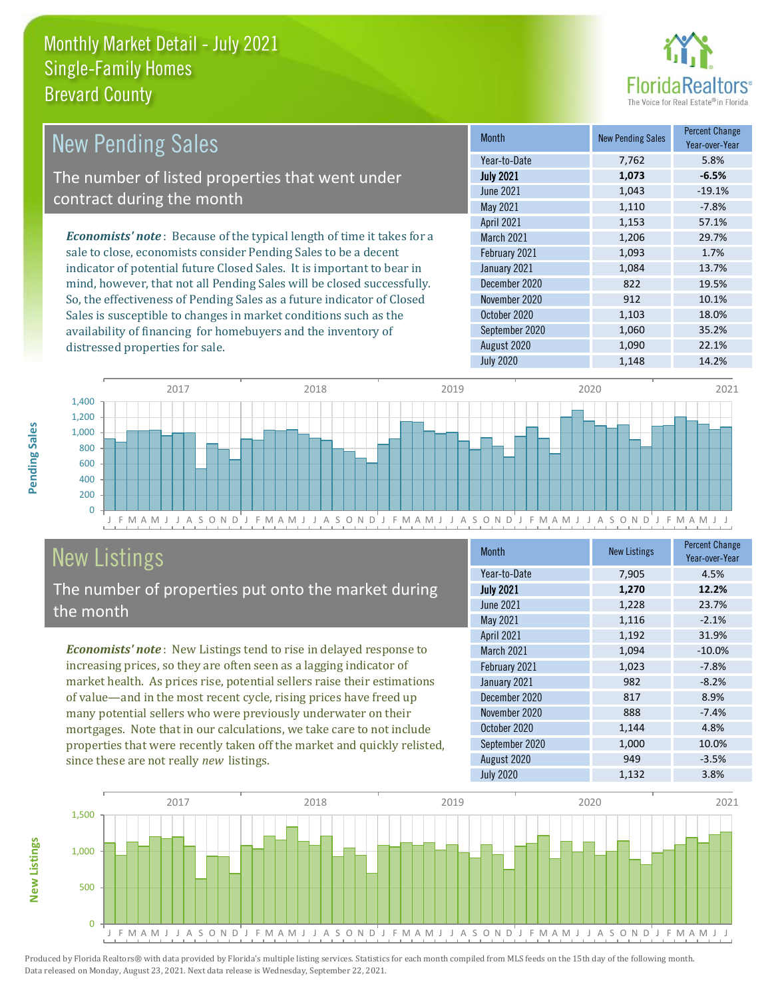distressed properties for sale.



| <b>New Pending Sales</b>                                                       | <b>Month</b>      | <b>New Pending Sales</b> | <b>Percent Change</b><br>Year-over-Year |
|--------------------------------------------------------------------------------|-------------------|--------------------------|-----------------------------------------|
|                                                                                | Year-to-Date      | 7.762                    | 5.8%                                    |
| The number of listed properties that went under                                | <b>July 2021</b>  | 1,073                    | $-6.5%$                                 |
| contract during the month                                                      | June 2021         | 1,043                    | $-19.1%$                                |
|                                                                                | May 2021          | 1,110                    | $-7.8%$                                 |
|                                                                                | <b>April 2021</b> | 1,153                    | 57.1%                                   |
| <b>Economists' note</b> : Because of the typical length of time it takes for a | <b>March 2021</b> | 1,206                    | 29.7%                                   |
| sale to close, economists consider Pending Sales to be a decent                | February 2021     | 1,093                    | 1.7%                                    |
| indicator of potential future Closed Sales. It is important to bear in         | January 2021      | 1.084                    | 13.7%                                   |
| mind, however, that not all Pending Sales will be closed successfully.         | December 2020     | 822                      | 19.5%                                   |
| So, the effectiveness of Pending Sales as a future indicator of Closed         | November 2020     | 912                      | 10.1%                                   |
| Sales is susceptible to changes in market conditions such as the               | October 2020      | 1,103                    | 18.0%                                   |

J F M A M J J A S O N D J F M A M J J A S O N D J F M A M J J A S O N D J F M A M J J A S O N D J F M A M J J  $\Omega$ 200 400 600 800 1,000 1,200 1,400 2017 2018 2019 2020 2021

# New Listings

The number of properties put onto the market during the month

availability of financing for homebuyers and the inventory of

*Economists' note* : New Listings tend to rise in delayed response to increasing prices, so they are often seen as a lagging indicator of market health. As prices rise, potential sellers raise their estimations of value—and in the most recent cycle, rising prices have freed up many potential sellers who were previously underwater on their mortgages. Note that in our calculations, we take care to not include properties that were recently taken off the market and quickly relisted, since these are not really *new* listings.

| <b>Month</b>      | <b>New Listings</b> | <b>Percent Change</b><br>Year-over-Year |
|-------------------|---------------------|-----------------------------------------|
| Year-to-Date      | 7,905               | 4.5%                                    |
| <b>July 2021</b>  | 1,270               | 12.2%                                   |
| <b>June 2021</b>  | 1,228               | 23.7%                                   |
| May 2021          | 1,116               | $-2.1%$                                 |
| April 2021        | 1,192               | 31.9%                                   |
| <b>March 2021</b> | 1,094               | $-10.0%$                                |
| February 2021     | 1,023               | $-7.8%$                                 |
| January 2021      | 982                 | $-8.2%$                                 |
| December 2020     | 817                 | 8.9%                                    |
| November 2020     | 888                 | $-7.4%$                                 |
| October 2020      | 1,144               | 4.8%                                    |
| September 2020    | 1,000               | 10.0%                                   |
| August 2020       | 949                 | $-3.5%$                                 |
| <b>July 2020</b>  | 1,132               | 3.8%                                    |

July 2020 1,148 14.2%

September 2020 1,060 35.2% August 2020 1,090 22.1%



Produced by Florida Realtors® with data provided by Florida's multiple listing services. Statistics for each month compiled from MLS feeds on the 15th day of the following month. Data released on Monday, August 23, 2021. Next data release is Wednesday, September 22, 2021.

**New Listings**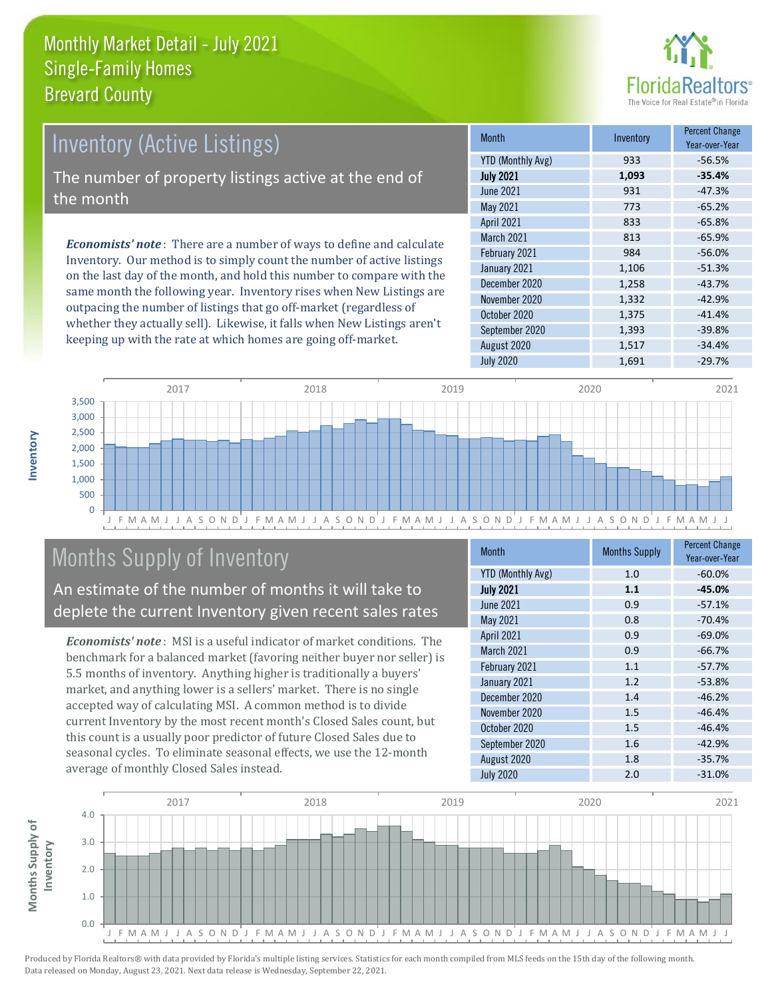

# Inventory (Active Listings)

The number of property listings active at the end of the month

*Economists' note* : There are a number of ways to define and calculate Inventory. Our method is to simply count the number of active listings on the last day of the month, and hold this number to compare with the same month the following year. Inventory rises when New Listings are outpacing the number of listings that go off-market (regardless of whether they actually sell). Likewise, it falls when New Listings aren't keeping up with the rate at which homes are going off-market.

| <b>Month</b>             | Inventory | <b>Percent Change</b><br>Year-over-Year |
|--------------------------|-----------|-----------------------------------------|
| <b>YTD (Monthly Avg)</b> | 933       | $-56.5%$                                |
| <b>July 2021</b>         | 1,093     | $-35.4%$                                |
| <b>June 2021</b>         | 931       | $-47.3%$                                |
| May 2021                 | 773       | $-65.2%$                                |
| April 2021               | 833       | $-65.8%$                                |
| March 2021               | 813       | $-65.9%$                                |
| February 2021            | 984       | $-56.0%$                                |
| January 2021             | 1,106     | $-51.3%$                                |
| December 2020            | 1,258     | $-43.7%$                                |
| November 2020            | 1,332     | $-42.9%$                                |
| October 2020             | 1,375     | $-41.4%$                                |
| September 2020           | 1,393     | $-39.8%$                                |
| August 2020              | 1,517     | $-34.4%$                                |
| <b>July 2020</b>         | 1,691     | $-29.7%$                                |



# Months Supply of Inventory

An estimate of the number of months it will take to deplete the current Inventory given recent sales rates

*Economists' note* : MSI is a useful indicator of market conditions. The benchmark for a balanced market (favoring neither buyer nor seller) is 5.5 months of inventory. Anything higher is traditionally a buyers' market, and anything lower is a sellers' market. There is no single accepted way of calculating MSI. A common method is to divide current Inventory by the most recent month's Closed Sales count, but this count is a usually poor predictor of future Closed Sales due to seasonal cycles. To eliminate seasonal effects, we use the 12-month average of monthly Closed Sales instead.

| <b>Month</b>             | <b>Months Supply</b> | <b>Percent Change</b><br>Year-over-Year |
|--------------------------|----------------------|-----------------------------------------|
| <b>YTD (Monthly Avg)</b> | 1.0                  | $-60.0%$                                |
| <b>July 2021</b>         | 1.1                  | $-45.0%$                                |
| <b>June 2021</b>         | 0.9                  | $-57.1%$                                |
| May 2021                 | 0.8                  | $-70.4%$                                |
| April 2021               | 0.9                  | $-69.0%$                                |
| March 2021               | 0.9                  | $-66.7%$                                |
| February 2021            | 1.1                  | $-57.7%$                                |
| January 2021             | 1.2                  | $-53.8%$                                |
| December 2020            | 1.4                  | $-46.2%$                                |
| November 2020            | 1.5                  | $-46.4%$                                |
| October 2020             | 1.5                  | $-46.4%$                                |
| September 2020           | 1.6                  | $-42.9%$                                |
| August 2020              | 1.8                  | $-35.7%$                                |
| <b>July 2020</b>         | 2.0                  | $-31.0%$                                |

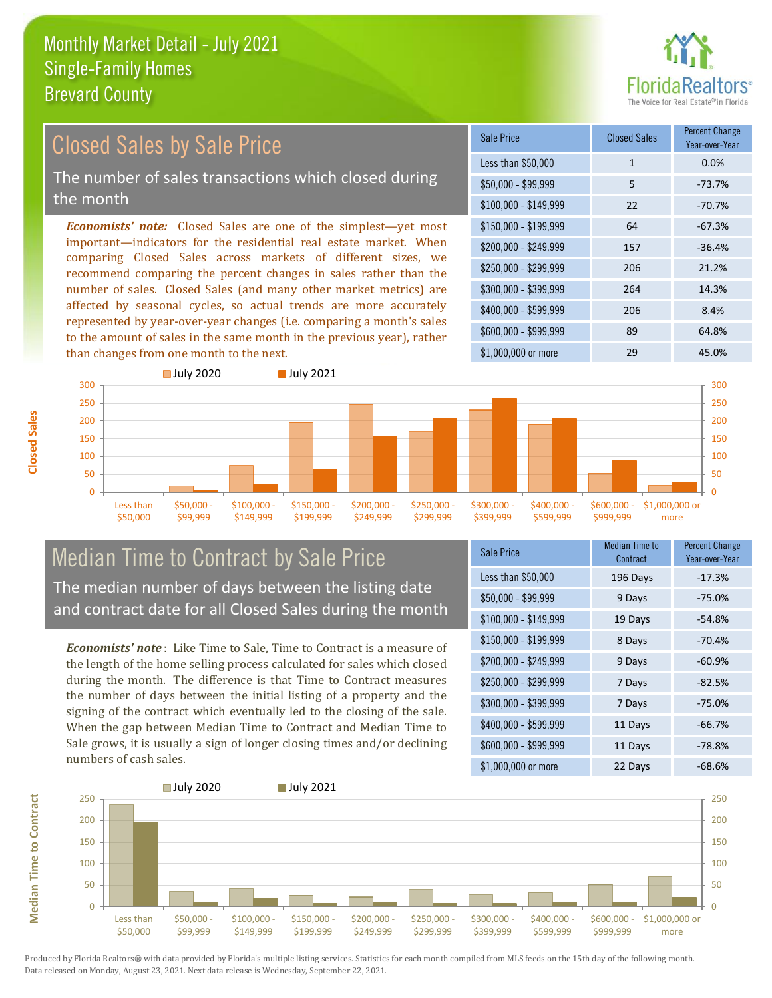

#### $$100,000 - $149,999$  22 -70.7% Sale Price Closed Sales Percent Change Year-over-Year Less than \$50,000 1 1 0.0% \$50,000 - \$99,999 5 -73.7% \$150,000 - \$199,999 64 -67.3% \$200,000 - \$249,999 157 -36.4% \$400,000 - \$599,999 206 8.4% \$600,000 - \$999,999 89 64.8% *Economists' note:* Closed Sales are one of the simplest—yet most important—indicators for the residential real estate market. When comparing Closed Sales across markets of different sizes, we recommend comparing the percent changes in sales rather than the number of sales. Closed Sales (and many other market metrics) are affected by seasonal cycles, so actual trends are more accurately represented by year-over-year changes (i.e. comparing a month's sales to the amount of sales in the same month in the previous year), rather than changes from one month to the next. \$1,000,000 or more 29 45.0% \$250,000 - \$299,999 206 21.2% \$300,000 - \$399,999 264 14.3% **July 2020** July 2021 Closed Sales by Sale Price The number of sales transactions which closed during the month



#### Median Time to Contract by Sale Price The median number of days between the listing date and contract date for all Closed Sales during the month

*Economists' note* : Like Time to Sale, Time to Contract is a measure of the length of the home selling process calculated for sales which closed during the month. The difference is that Time to Contract measures the number of days between the initial listing of a property and the signing of the contract which eventually led to the closing of the sale. When the gap between Median Time to Contract and Median Time to Sale grows, it is usually a sign of longer closing times and/or declining numbers of cash sales.

| <b>Sale Price</b>     | Median Time to<br>Contract | <b>Percent Change</b><br>Year-over-Year |
|-----------------------|----------------------------|-----------------------------------------|
| Less than \$50,000    | 196 Days                   | $-17.3%$                                |
| $$50,000 - $99,999$   | 9 Days                     | $-75.0%$                                |
| $$100,000 - $149,999$ | 19 Days                    | $-54.8%$                                |
| $$150,000 - $199,999$ | 8 Days                     | $-70.4%$                                |
| \$200,000 - \$249,999 | 9 Days                     | $-60.9%$                                |
| \$250,000 - \$299,999 | 7 Days                     | $-82.5%$                                |
| \$300,000 - \$399,999 | 7 Days                     | $-75.0%$                                |
| \$400,000 - \$599,999 | 11 Days                    | $-66.7%$                                |
| \$600,000 - \$999,999 | 11 Days                    | $-78.8%$                                |
| \$1,000,000 or more   | 22 Days                    | $-68.6%$                                |



Produced by Florida Realtors® with data provided by Florida's multiple listing services. Statistics for each month compiled from MLS feeds on the 15th day of the following month. Data released on Monday, August 23, 2021. Next data release is Wednesday, September 22, 2021.

**Median Time to Contract**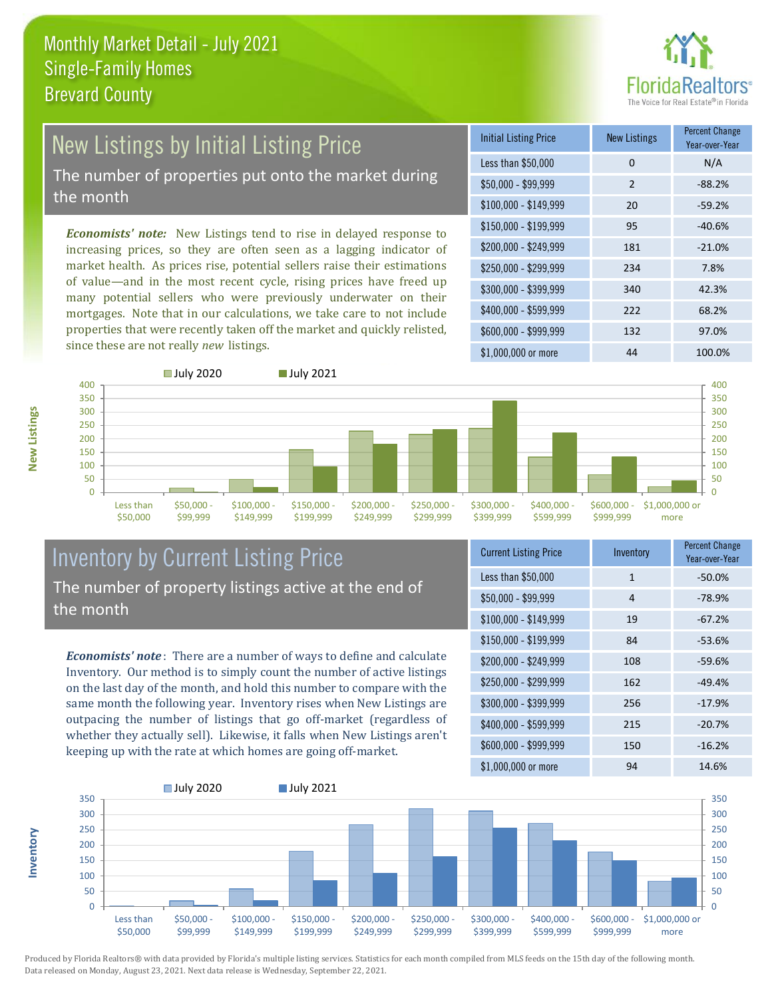

# New Listings by Initial Listing Price

The number of properties put onto the market during the month

*Economists' note:* New Listings tend to rise in delayed response to increasing prices, so they are often seen as a lagging indicator of market health. As prices rise, potential sellers raise their estimations of value—and in the most recent cycle, rising prices have freed up many potential sellers who were previously underwater on their mortgages. Note that in our calculations, we take care to not include properties that were recently taken off the market and quickly relisted, since these are not really *new* listings.

| <b>Initial Listing Price</b> | <b>New Listings</b> | <b>Percent Change</b><br>Year-over-Year |
|------------------------------|---------------------|-----------------------------------------|
| Less than \$50,000           | 0                   | N/A                                     |
| $$50,000 - $99,999$          | $\mathcal{P}$       | $-88.2%$                                |
| $$100,000 - $149,999$        | 20                  | $-59.2%$                                |
| $$150,000 - $199,999$        | 95                  | $-40.6%$                                |
| \$200,000 - \$249,999        | 181                 | $-21.0%$                                |
| \$250,000 - \$299,999        | 234                 | 7.8%                                    |
| \$300,000 - \$399,999        | 340                 | 42.3%                                   |
| \$400,000 - \$599,999        | 222                 | 68.2%                                   |
| \$600,000 - \$999,999        | 132                 | 97.0%                                   |
| \$1,000,000 or more          | 44                  | 100.0%                                  |



#### Inventory by Current Listing Price The number of property listings active at the end of the month

*Economists' note* : There are a number of ways to define and calculate Inventory. Our method is to simply count the number of active listings on the last day of the month, and hold this number to compare with the same month the following year. Inventory rises when New Listings are outpacing the number of listings that go off-market (regardless of whether they actually sell). Likewise, it falls when New Listings aren't keeping up with the rate at which homes are going off-market.

| <b>Current Listing Price</b> | Inventory | <b>Percent Change</b><br>Year-over-Year |
|------------------------------|-----------|-----------------------------------------|
| Less than \$50,000           | 1         | $-50.0%$                                |
| $$50,000 - $99,999$          | 4         | $-78.9%$                                |
| $$100,000 - $149,999$        | 19        | $-67.2%$                                |
| $$150,000 - $199,999$        | 84        | $-53.6%$                                |
| \$200,000 - \$249,999        | 108       | $-59.6%$                                |
| \$250,000 - \$299,999        | 162       | $-49.4%$                                |
| \$300,000 - \$399,999        | 256       | $-17.9%$                                |
| \$400,000 - \$599,999        | 215       | $-20.7%$                                |
| \$600,000 - \$999,999        | 150       | $-16.2%$                                |
| \$1,000,000 or more          | 94        | 14.6%                                   |



Produced by Florida Realtors® with data provided by Florida's multiple listing services. Statistics for each month compiled from MLS feeds on the 15th day of the following month. Data released on Monday, August 23, 2021. Next data release is Wednesday, September 22, 2021.

**Inventory**